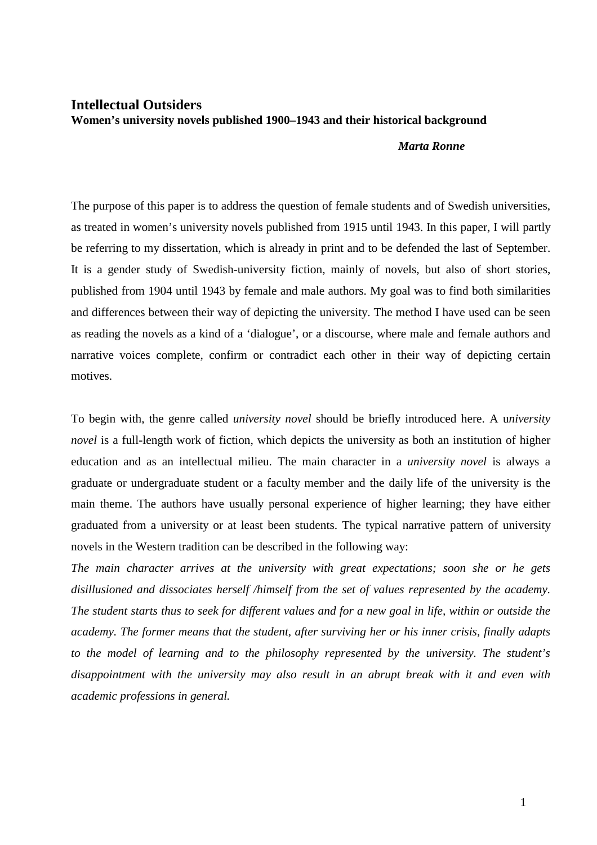## **Intellectual Outsiders Women's university novels published 1900–1943 and their historical background**

## *Marta Ronne*

The purpose of this paper is to address the question of female students and of Swedish universities, as treated in women's university novels published from 1915 until 1943. In this paper, I will partly be referring to my dissertation, which is already in print and to be defended the last of September. It is a gender study of Swedish-university fiction, mainly of novels, but also of short stories, published from 1904 until 1943 by female and male authors. My goal was to find both similarities and differences between their way of depicting the university. The method I have used can be seen as reading the novels as a kind of a 'dialogue', or a discourse, where male and female authors and narrative voices complete, confirm or contradict each other in their way of depicting certain motives.

To begin with, the genre called *university novel* should be briefly introduced here. A u*niversity novel* is a full-length work of fiction, which depicts the university as both an institution of higher education and as an intellectual milieu. The main character in a *university novel* is always a graduate or undergraduate student or a faculty member and the daily life of the university is the main theme. The authors have usually personal experience of higher learning; they have either graduated from a university or at least been students. The typical narrative pattern of university novels in the Western tradition can be described in the following way:

*The main character arrives at the university with great expectations; soon she or he gets disillusioned and dissociates herself /himself from the set of values represented by the academy. The student starts thus to seek for different values and for a new goal in life, within or outside the academy. The former means that the student, after surviving her or his inner crisis, finally adapts to the model of learning and to the philosophy represented by the university. The student's disappointment with the university may also result in an abrupt break with it and even with academic professions in general.*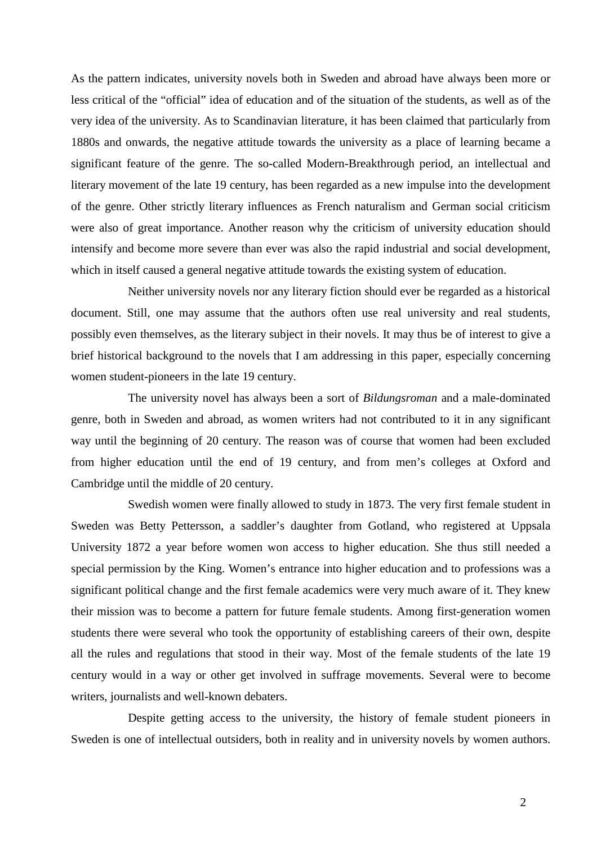As the pattern indicates, university novels both in Sweden and abroad have always been more or less critical of the "official" idea of education and of the situation of the students, as well as of the very idea of the university. As to Scandinavian literature, it has been claimed that particularly from 1880s and onwards, the negative attitude towards the university as a place of learning became a significant feature of the genre. The so-called Modern-Breakthrough period, an intellectual and literary movement of the late 19 century, has been regarded as a new impulse into the development of the genre. Other strictly literary influences as French naturalism and German social criticism were also of great importance. Another reason why the criticism of university education should intensify and become more severe than ever was also the rapid industrial and social development, which in itself caused a general negative attitude towards the existing system of education.

Neither university novels nor any literary fiction should ever be regarded as a historical document. Still, one may assume that the authors often use real university and real students, possibly even themselves, as the literary subject in their novels. It may thus be of interest to give a brief historical background to the novels that I am addressing in this paper, especially concerning women student-pioneers in the late 19 century.

The university novel has always been a sort of *Bildungsroman* and a male-dominated genre, both in Sweden and abroad, as women writers had not contributed to it in any significant way until the beginning of 20 century. The reason was of course that women had been excluded from higher education until the end of 19 century, and from men's colleges at Oxford and Cambridge until the middle of 20 century.

Swedish women were finally allowed to study in 1873. The very first female student in Sweden was Betty Pettersson, a saddler's daughter from Gotland, who registered at Uppsala University 1872 a year before women won access to higher education. She thus still needed a special permission by the King. Women's entrance into higher education and to professions was a significant political change and the first female academics were very much aware of it. They knew their mission was to become a pattern for future female students. Among first-generation women students there were several who took the opportunity of establishing careers of their own, despite all the rules and regulations that stood in their way. Most of the female students of the late 19 century would in a way or other get involved in suffrage movements. Several were to become writers, journalists and well-known debaters.

Despite getting access to the university, the history of female student pioneers in Sweden is one of intellectual outsiders, both in reality and in university novels by women authors.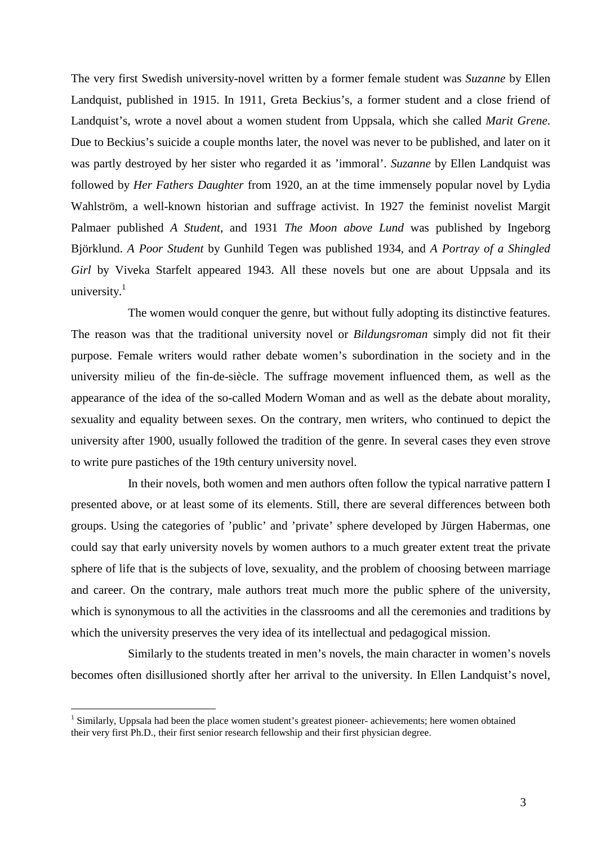The very first Swedish university-novel written by a former female student was *Suzanne* by Ellen Landquist, published in 1915. In 1911, Greta Beckius's, a former student and a close friend of Landquist's, wrote a novel about a women student from Uppsala, which she called *Marit Grene*. Due to Beckius's suicide a couple months later, the novel was never to be published, and later on it was partly destroyed by her sister who regarded it as 'immoral'. *Suzanne* by Ellen Landquist was followed by *Her Fathers Daughter* from 1920, an at the time immensely popular novel by Lydia Wahlström, a well-known historian and suffrage activist. In 1927 the feminist novelist Margit Palmaer published *A Student*, and 1931 *The Moon above Lund* was published by Ingeborg Björklund. *A Poor Student* by Gunhild Tegen was published 1934, and *A Portray of a Shingled Girl* by Viveka Starfelt appeared 1943. All these novels but one are about Uppsala and its university. $1$ 

The women would conquer the genre, but without fully adopting its distinctive features. The reason was that the traditional university novel or *Bildungsroman* simply did not fit their purpose. Female writers would rather debate women's subordination in the society and in the university milieu of the fin-de-siècle. The suffrage movement influenced them, as well as the appearance of the idea of the so-called Modern Woman and as well as the debate about morality, sexuality and equality between sexes. On the contrary, men writers, who continued to depict the university after 1900, usually followed the tradition of the genre. In several cases they even strove to write pure pastiches of the 19th century university novel.

In their novels, both women and men authors often follow the typical narrative pattern I presented above, or at least some of its elements. Still, there are several differences between both groups. Using the categories of 'public' and 'private' sphere developed by Jürgen Habermas, one could say that early university novels by women authors to a much greater extent treat the private sphere of life that is the subjects of love, sexuality, and the problem of choosing between marriage and career. On the contrary, male authors treat much more the public sphere of the university, which is synonymous to all the activities in the classrooms and all the ceremonies and traditions by which the university preserves the very idea of its intellectual and pedagogical mission.

Similarly to the students treated in men's novels, the main character in women's novels becomes often disillusioned shortly after her arrival to the university. In Ellen Landquist's novel,

 $<sup>1</sup>$  Similarly, Uppsala had been the place women student's greatest pioneer- achievements; here women obtained</sup> their very first Ph.D., their first senior research fellowship and their first physician degree.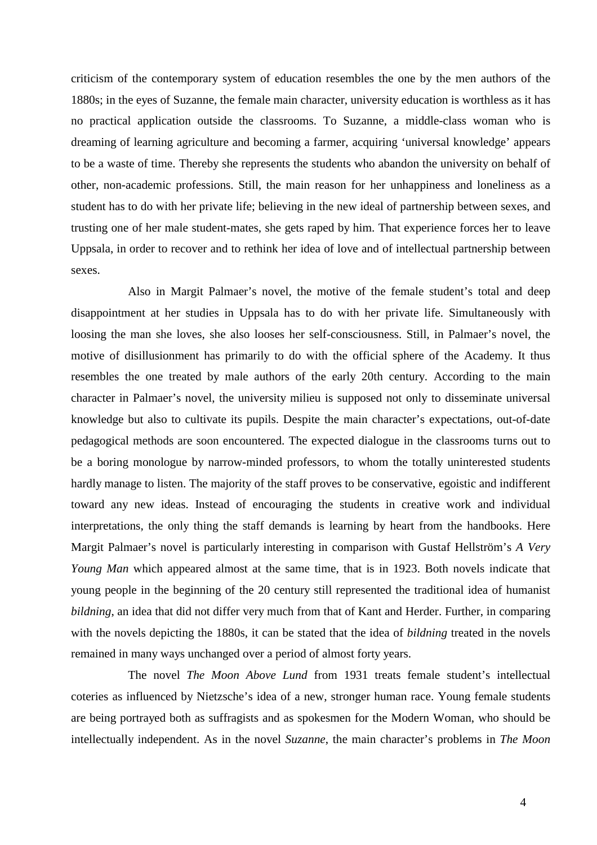criticism of the contemporary system of education resembles the one by the men authors of the 1880s; in the eyes of Suzanne, the female main character, university education is worthless as it has no practical application outside the classrooms. To Suzanne, a middle-class woman who is dreaming of learning agriculture and becoming a farmer, acquiring 'universal knowledge' appears to be a waste of time. Thereby she represents the students who abandon the university on behalf of other, non-academic professions. Still, the main reason for her unhappiness and loneliness as a student has to do with her private life; believing in the new ideal of partnership between sexes, and trusting one of her male student-mates, she gets raped by him. That experience forces her to leave Uppsala, in order to recover and to rethink her idea of love and of intellectual partnership between sexes.

Also in Margit Palmaer's novel, the motive of the female student's total and deep disappointment at her studies in Uppsala has to do with her private life. Simultaneously with loosing the man she loves, she also looses her self-consciousness. Still, in Palmaer's novel, the motive of disillusionment has primarily to do with the official sphere of the Academy. It thus resembles the one treated by male authors of the early 20th century. According to the main character in Palmaer's novel, the university milieu is supposed not only to disseminate universal knowledge but also to cultivate its pupils. Despite the main character's expectations, out-of-date pedagogical methods are soon encountered. The expected dialogue in the classrooms turns out to be a boring monologue by narrow-minded professors, to whom the totally uninterested students hardly manage to listen. The majority of the staff proves to be conservative, egoistic and indifferent toward any new ideas. Instead of encouraging the students in creative work and individual interpretations, the only thing the staff demands is learning by heart from the handbooks. Here Margit Palmaer's novel is particularly interesting in comparison with Gustaf Hellström's *A Very Young Man* which appeared almost at the same time, that is in 1923. Both novels indicate that young people in the beginning of the 20 century still represented the traditional idea of humanist *bildning*, an idea that did not differ very much from that of Kant and Herder. Further, in comparing with the novels depicting the 1880s, it can be stated that the idea of *bildning* treated in the novels remained in many ways unchanged over a period of almost forty years.

The novel *The Moon Above Lund* from 1931 treats female student's intellectual coteries as influenced by Nietzsche's idea of a new, stronger human race. Young female students are being portrayed both as suffragists and as spokesmen for the Modern Woman, who should be intellectually independent. As in the novel *Suzanne*, the main character's problems in *The Moon*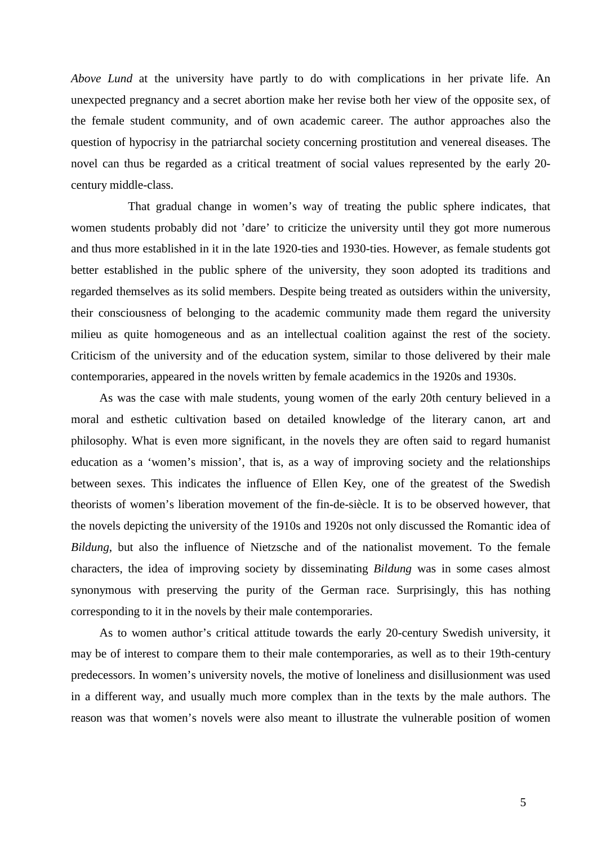*Above Lund* at the university have partly to do with complications in her private life. An unexpected pregnancy and a secret abortion make her revise both her view of the opposite sex, of the female student community, and of own academic career. The author approaches also the question of hypocrisy in the patriarchal society concerning prostitution and venereal diseases. The novel can thus be regarded as a critical treatment of social values represented by the early 20 century middle-class.

That gradual change in women's way of treating the public sphere indicates, that women students probably did not 'dare' to criticize the university until they got more numerous and thus more established in it in the late 1920-ties and 1930-ties. However, as female students got better established in the public sphere of the university, they soon adopted its traditions and regarded themselves as its solid members. Despite being treated as outsiders within the university, their consciousness of belonging to the academic community made them regard the university milieu as quite homogeneous and as an intellectual coalition against the rest of the society. Criticism of the university and of the education system, similar to those delivered by their male contemporaries, appeared in the novels written by female academics in the 1920s and 1930s.

As was the case with male students, young women of the early 20th century believed in a moral and esthetic cultivation based on detailed knowledge of the literary canon, art and philosophy. What is even more significant, in the novels they are often said to regard humanist education as a 'women's mission', that is, as a way of improving society and the relationships between sexes. This indicates the influence of Ellen Key, one of the greatest of the Swedish theorists of women's liberation movement of the fin-de-siècle. It is to be observed however, that the novels depicting the university of the 1910s and 1920s not only discussed the Romantic idea of *Bildung*, but also the influence of Nietzsche and of the nationalist movement. To the female characters, the idea of improving society by disseminating *Bildung* was in some cases almost synonymous with preserving the purity of the German race. Surprisingly, this has nothing corresponding to it in the novels by their male contemporaries.

As to women author's critical attitude towards the early 20-century Swedish university, it may be of interest to compare them to their male contemporaries, as well as to their 19th-century predecessors. In women's university novels, the motive of loneliness and disillusionment was used in a different way, and usually much more complex than in the texts by the male authors. The reason was that women's novels were also meant to illustrate the vulnerable position of women